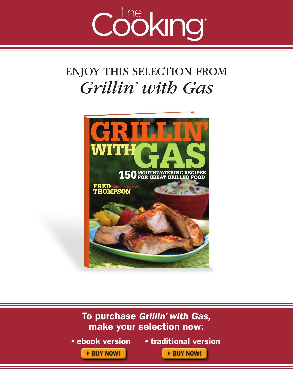

# ENJOY THIS SELECTION FROM *Grillin' with Gas*



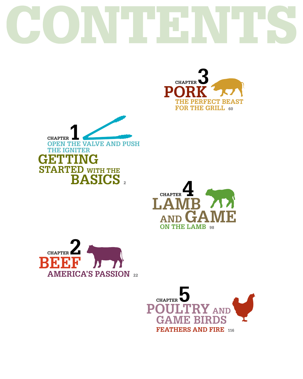









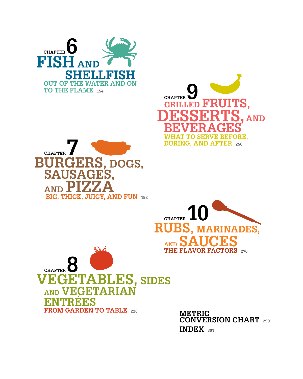









**Metric Conversion Chart 299 INDEX 301**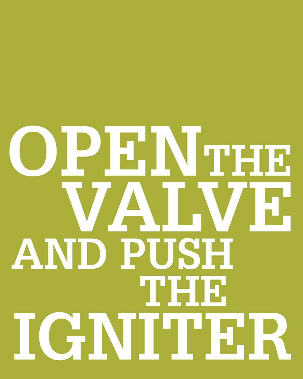# <span id="page-3-0"></span>**igniter valve the and push the open**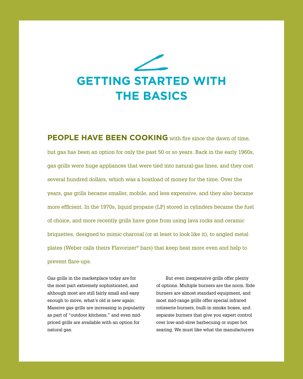

**PEOPLE HAVE BEEN COOKING** with fire since the dawn of time.

but gas has been an option for only the past 50 or so years. Back in the early 1960s, gas grills were huge appliances that were tied into natural-gas lines, and they cost several hundred dollars, which was a boatload of money for the time. Over the years, gas grills became smaller, mobile, and less expensive, and they also became more efficient. In the 1970s, liquid propane (LP) stored in cylinders became the fuel of choice, and more recently grills have gone from using lava rocks and ceramic briquettes, designed to mimic charcoal (or at least to look like it), to angled metal plates (Weber calls theirs Flavorizer® bars) that keep heat more even and help to prevent flare-ups.

Gas grills in the marketplace today are for the most part extremely sophisticated, and although most are still fairly small and easy enough to move, what's old is new again: Massive gas grills are increasing in popularity as part of "outdoor kitchens," and even midpriced grills are available with an option for natural gas. Massive gas grills are increasing in popularity rotisserie burners, built-in smoke boxes, and<br>as part of "outdoor kitchens," and even mid-<br>priced grills are available with an option for<br>natural gas.<br>actual gas.<br>We must lik

But even inexpensive grills offer plenty of options. Multiple burners are the norm. Side burners are almost standard equipment, and most mid-range grills offer special infrared rotisserie burners, built-in smoke boxes, and separate burners that give you expert control over low-and-slow barbecuing or super hot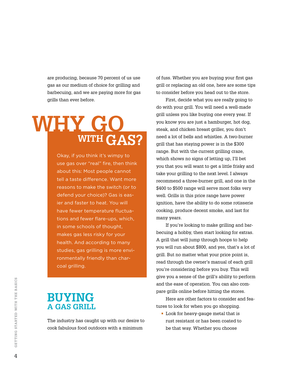are producing, because 70 percent of us use gas as our medium of choice for grilling and barbecuing, and we are paying more for gas grills than ever before.

# **WITH GAS? WHY GO**

Okay, if you think it's wimpy to use gas over "real" fire, then think about this: Most people cannot tell a taste difference. Want more reasons to make the switch (or to defend your choice)? Gas is easier and faster to heat. You will have fewer temperature fluctuations and fewer flare-ups, which, in some schools of thought, makes gas less risky for your health. And according to many studies, gas grilling is more environmentally friendly than charcoal grilling.

### **Buying a Gas Grill**

The industry has caught up with our desire to cook fabulous food outdoors with a minimum

of fuss. Whether you are buying your first gas grill or replacing an old one, here are some tips to consider before you head out to the store.

First, decide what you are really going to do with your grill. You will need a well-made grill unless you like buying one every year. If you know you are just a hamburger, hot dog, steak, and chicken breast griller, you don't need a lot of bells and whistles. A two-burner grill that has staying power is in the \$300 range. But with the current grilling craze, which shows no signs of letting up, I'll bet you that you will want to get a little frisky and take your grilling to the next level. I always recommend a three-burner grill, and one in the \$400 to \$500 range will serve most folks very well. Grills in this price range have power ignition, have the ability to do some rotisserie cooking, produce decent smoke, and last for many years.

If you're looking to make grilling and barbecuing a hobby, then start looking for extras. A grill that will jump through hoops to help you will run about \$800, and yes, that's a lot of grill. But no matter what your price point is, read through the owner's manual of each grill you're considering before you buy. This will give you a sense of the grill's ability to perform and the ease of operation. You can also compare grills online before hitting the stores.

Here are other factors to consider and features to look for when you go shopping.

**•**  Look for heavy-gauge metal that is rust resistant or has been coated to be that way. Whether you choose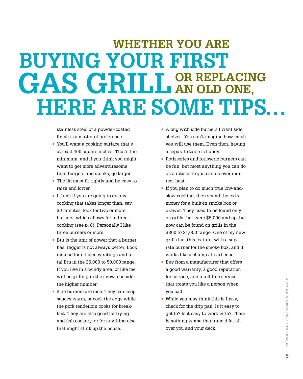# **here are some tips… Whether you are** GAS GRILL OR REPLACING **buying your first**

stainless steel or a powder-coated finish is a matter of preference.

- **•**  You'll want a cooking surface that's at least 400 square inches. That's the minimum, and if you think you might want to get more adventuresome than burgers and steaks, go larger.
- **•**  The lid must fit tightly and be easy to raise and lower.
- **•**  I think if you are going to do any cooking that takes longer than, say, 30 minutes, look for two or more burners, which allows for indirect cooking (see p. 8). Personally I like three burners or more.
- **•**  Btu is the unit of power that a burner has. Bigger is not always better. Look instead for efficiency ratings and total Btu in the 25,000 to 50,000 range. If you live in a windy area, or like me will be grilling in the snow, consider the higher number.
- **•**  Side burners are nice. They can keep sauces warm, or cook the eggs while the pork tenderloin cooks for breakfast. They are also good for frying and fish cookery, or for anything else that might stink up the house.
- **•**  Along with side burners I want side shelves. You can't imagine how much you will use them. Even then, having a separate table is handy.
- **•**  Rotisseries and rotisserie burners can be fun, but most anything you can do on a rotisserie you can do over indirect heat.
- **•** If you plan to do much true low-andslow cooking, then spend the extra money for a built-in smoke box or drawer. They used to be found only on grills that were \$5,000 and up, but now can be found on grills in the \$800 to \$1,000 range. One of my new grills has this feature, with a separate burner for the smoke box, and it works like a champ at barbecue.
- **•**  Buy from a manufacturer that offers a good warranty, a good reputation for service, and a toll-free service that treats you like a person when you call.
- **•**  While you may think this is fussy, check for the drip pan. Is it easy to get to? Is it easy to work with? There is nothing worse than rancid fat all over you and your deck.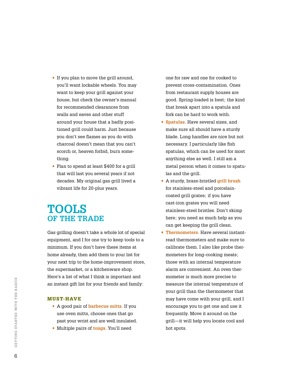- **•** If you plan to move the grill around, you'll want lockable wheels. You may want to keep your grill against your house, but check the owner's manual for recommended clearances from walls and eaves and other stuff around your house that a badly positioned grill could harm. Just because you don't see flames as you do with charcoal doesn't mean that you can't scorch or, heaven forbid, burn something.
- **•**  Plan to spend at least \$400 for a grill that will last you several years if not decades. My original gas grill lived a vibrant life for 20-plus years.

### **Tools of the Trade**

Gas grilling doesn't take a whole lot of special equipment, and I for one try to keep tools to a minimum. If you don't have these items at home already, then add them to your list for your next trip to the home-improvement store, the supermarket, or a kitchenware shop. Here's a list of what I think is important and an instant gift list for your friends and family:

#### Must-have

- **•**  A good pair of **barbecue mitts.** If you use oven mitts, choose ones that go past your wrist and are well insulated.
- **•**  Multiple pairs of **tongs.** You'll need

one for raw and one for cooked to prevent cross-contamination. Ones from restaurant supply houses are good. Spring-loaded is best; the kind that break apart into a spatula and fork can be hard to work with.

- **• Spatulas.** Have several sizes, and make sure all should have a sturdy blade. Long handles are nice but not necessary. I particularly like fish spatulas, which can be used for most anything else as well. I still am a metal person when it comes to spatulas and the grill.
- **•**  A sturdy, brass-bristled **grill brush** for stainless-steel and porcelaincoated grill grates; if you have cast-iron grates you will need stainless-steel bristles. Don't skimp here; you need as much help as you can get keeping the grill clean.
- **Thermometers.** Have several instantread thermometers and make sure to calibrate them. I also like probe thermometers for long-cooking meats; those with an internal temperature alarm are convenient. An oven thermometer is much more precise to measure the internal temperature of your grill than the thermometer that may have come with your grill, and I encourage you to get one and use it frequently. Move it around on the grill—it will help you locate cool and hot spots.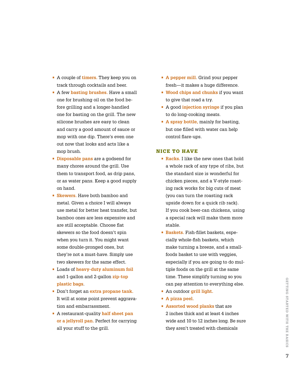- **•**  A couple of **timers.** They keep you on track through cocktails and beer.
- **•**  A few **basting brushes.** Have a small one for brushing oil on the food before grilling and a longer-handled one for basting on the grill. The new silicone brushes are easy to clean and carry a good amount of sauce or mop with one dip. There's even one out now that looks and acts like a mop brush.
- **• Disposable pans** are a godsend for many chores around the grill. Use them to transport food, as drip pans, or as water pans. Keep a good supply on hand.
- **Skewers.** Have both bamboo and metal. Given a choice I will always use metal for better heat transfer, but bamboo ones are less expensive and are still acceptable. Choose flat skewers so the food doesn't spin when you turn it. You might want some double-pronged ones, but they're not a must-have. Simply use two skewers for the same effect.
- **•**  Loads of **heavy-duty aluminum foil** and 1-gallon and 2-gallon **zip-top plastic bags**.
- **•**  Don't forget an **extra propane tank.** It will at some point prevent aggravation and embarrassment.
- **•**  A restaurant-quality **half sheet pan or a jellyroll pan.** Perfect for carrying all your stuff to the grill.
- **• A pepper mill.** Grind your pepper fresh—it makes a huge difference.
- **• Wood chips and chunks** if you want to give that road a try.
- **•**  A good **injection syringe** if you plan to do long-cooking meats.
- **• A spray bottle,** mainly for basting, but one filled with water can help control flare-ups.

#### Nice to have

- **• Racks.** I like the new ones that hold a whole rack of any type of ribs, but the standard size is wonderful for chicken pieces, and a V-style roasting rack works for big cuts of meat (you can turn the roasting rack upside down for a quick rib rack). If you cook beer-can chickens, using a special rack will make them more stable.
- **• Baskets.** Fish-fillet baskets, especially whole-fish baskets, which make turning a breeze, and a smallfoods basket to use with veggies, especially if you are going to do multiple foods on the grill at the same time. These simplify turning so you can pay attention to everything else.
- **•**  An outdoor **grill light.**
- **• A pizza peel.**
- **• Assorted wood planks** that are 2 inches thick and at least 4 inches wide and 10 to 12 inches long. Be sure they aren't treated with chemicals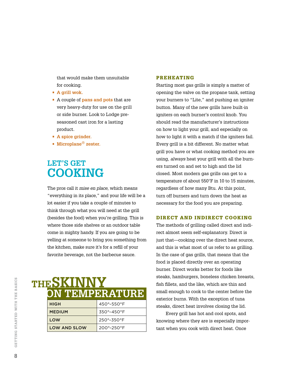that would make them unsuitable for cooking.

- **• A grill wok.**
- **•**  A couple of **pans and pots** that are very heavy-duty for use on the grill or side burner. Look to Lodge preseasoned cast iron for a lasting product.
- **• A spice grinder.**
- **• Microplane® zester.**

### **Let's Get Cooking**

The pros call it *mise en place*, which means "everything in its place," and your life will be a lot easier if you take a couple of minutes to think through what you will need at the grill (besides the food) when you're grilling. This is where those side shelves or an outdoor table come in mighty handy. If you are going to be yelling at someone to bring you something from the kitchen, make sure it's for a refill of your favorite beverage, not the barbecue sauce.

#### **THESKINNY ON TEMPERATURE** HIGH 450°-550°F **MEDIUM** 350°-450°F low 250°–350°F LOW AND SLOW  $\vert$  200°–250°F

#### Preheating

Starting most gas grills is simply a matter of opening the valve on the propane tank, setting your burners to "Lite," and pushing an igniter button. Many of the new grills have built-in igniters on each burner's control knob. You should read the manufacturer's instructions on how to light your grill, and especially on how to light it with a match if the igniters fail. Every grill is a bit different. No matter what grill you have or what cooking method you are using, *always* heat your grill with all the burners turned on and set to high and the lid closed. Most modern gas grills can get to a temperature of about 550°F in 10 to 15 minutes, regardless of how many Btu. At this point, turn off burners and turn down the heat as necessary for the food you are preparing.

#### Direct and indirect cooking

The methods of grilling called direct and indirect almost seem self-explanatory. Direct is just that—cooking over the direct heat source, and this is what most of us refer to as grilling. In the case of gas grills, that means that the food is placed directly over an operating burner. Direct works better for foods like steaks, hamburgers, boneless chicken breasts, fish fillets, and the like, which are thin and small enough to cook to the center before the exterior burns. With the exception of tuna steaks, direct heat involves closing the lid.

Every grill has hot and cool spots, and knowing where they are is especially important when you cook with direct heat. Once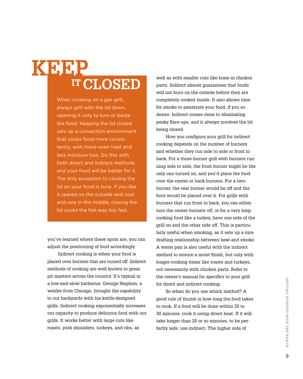# **ITCLOSED KEEP**

When cooking on a gas grill, *always* grill with the lid down, opening it only to turn or baste the food. Keeping the lid closed sets up a convection environment that cooks food more consistently, with more-even heat and less moisture loss. Do this with both direct and indirect methods and your food will be better for it. The only exception to closing the lid on your food is tuna. If you like it seared on the outside and cool and rare in the middle, closing the lid cooks the fish way too fast.

you've learned where these spots are, you can adjust the positioning of food accordingly.

 Indirect cooking is when your food is placed over burners that are turned off. Indirect methods of cooking are well known to great pit masters across the country. It's typical in a low-and-slow barbecue. George Stephen, a welder from Chicago, brought the capability to our backyards with his kettle-designed grills. Indirect cooking exponentially increases our capacity to produce delicious food with our grills. It works better with large cuts like roasts, pork shoulders, turkeys, and ribs, as

well as with smaller cuts like bone-in chicken parts. Indirect almost guarantees that foods will not burn on the outside before they are completely cooked inside. It also allows time for smoke to penetrate your food, if you so desire. Indirect comes close to eliminating pesky flare-ups, and it *always* involves the lid being closed.

How you configure your grill for indirect cooking depends on the number of burners and whether they run side to side or front to back. For a three-burner grill with burners running side to side, the front burner might be the only one turned on, and you'd place the food over the center or back burners. For a twoburner, the rear burner would be off and the food would be placed over it. For grills with burners that run front to back, you can either turn the center burners off, or for a very longcooking food like a turkey, have one side of the grill on and the other side off. This is particularly useful when smoking, as it sets up a nice drafting relationship between heat and smoke. A water pan is also useful with the indirect method to ensure a moist finish, but only with longer-cooking items like roasts and turkeys, not necessarily with chicken parts. Refer to the owner's manual for specifics to your grill for direct and indirect cooking.

So when do you use which method? A good rule of thumb is how long the food takes to cook. If a food will be done within 20 to 30 minutes, cook it using direct heat. If it will take longer than 20 or so minutes, to be perfectly safe, use indirect. The higher side of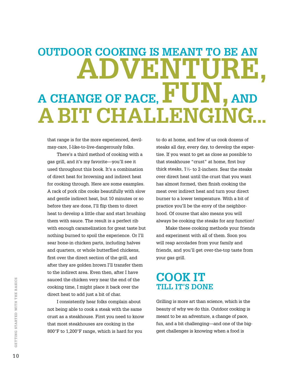# **adventure, outdoor cooking is meant to be an A CHANGE OF PACE,**  $\mathbf{FUN}_{\text{A} \text{AND}}$ **a bit challenging...**

that range is for the more experienced, devilmay-care, I-like-to-live-dangerously folks.

There's a third method of cooking with a gas grill, and it's my favorite—you'll see it used throughout this book. It's a combination of direct heat for browning and indirect heat for cooking through. Here are some examples. A rack of pork ribs cooks beautifully with slow and gentle indirect heat, but 10 minutes or so before they are done, I'll flip them to direct heat to develop a little char and start brushing them with sauce. The result is a perfect rib with enough caramelization for great taste but nothing burned to spoil the experience. Or I'll sear bone-in chicken parts, including halves and quarters, or whole butterflied chickens, first over the direct section of the grill, and after they are golden brown I'll transfer them to the indirect area. Even then, after I have sauced the chicken very near the end of the cooking time, I might place it back over the direct heat to add just a bit of char.

I consistently hear folks complain about not being able to cook a steak with the same crust as a steakhouse. First you need to know that most steakhouses are cooking in the 800°F to 1,200°F range, which is hard for you

to do at home, and few of us cook dozens of steaks all day, every day, to develop the expertise. If you want to get as close as possible to that steakhouse "crust" at home, first buy thick steaks,  $1\frac{1}{2}$ - to 2-inchers. Sear the steaks over direct heat until the crust that you want has almost formed, then finish cooking the meat over indirect heat and turn your direct burner to a lower temperature. With a bit of practice you'll be the envy of the neighborhood. Of course that also means you will always be cooking the steaks for any function!

Make these cooking methods your friends and experiment with all of them. Soon you will reap accolades from your family and friends, and you'll get over-the-top taste from your gas grill.

#### **Cook It Till It's Done**

Grilling is more art than science, which is the beauty of why we do this. Outdoor cooking is meant to be an adventure, a change of pace, fun, and a bit challenging—and one of the biggest challenges is knowing when a food is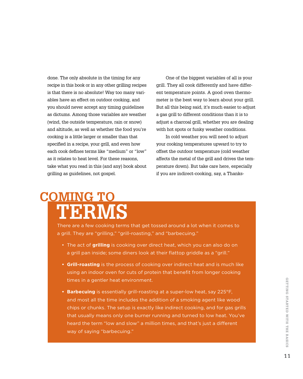done. The only absolute in the timing for any recipe in this book or in any other grilling recipes is that there is no absolute! Way too many variables have an effect on outdoor cooking, and you should never accept any timing guidelines as dictums. Among those variables are weather (wind, the outside temperature, rain or snow) and altitude, as well as whether the food you're cooking is a little larger or smaller than that specified in a recipe, your grill, and even how each cook defines terms like "medium" or "low" as it relates to heat level. For these reasons, take what you read in this (and any) book about grilling as guidelines, not gospel.

One of the biggest variables of all is your grill. They all cook differently and have different temperature points. A good oven thermometer is the best way to learn about your grill. But all this being said, it's much easier to adjust a gas grill to different conditions than it is to adjust a charcoal grill, whether you are dealing with hot spots or funky weather conditions.

In cold weather you will need to adjust your cooking temperatures upward to try to offset the outdoor temperature (cold weather affects the metal of the grill and drives the temperature down). But take care here, especially if you are indirect-cooking, say, a Thanks-

# **terms coming to**

There are a few cooking terms that get tossed around a lot when it comes to a grill. They are "grilling," "grill-roasting," and "barbecuing."

- The act of **grilling** is cooking over direct heat, which you can also do on a grill pan inside; some diners look at their flattop griddle as a "grill."
- **Grill-roasting** is the process of cooking over indirect heat and is much like using an indoor oven for cuts of protein that benefit from longer cooking times in a gentler heat environment.
- **Barbecuing** is essentially grill-roasting at a super-low heat, say 225°F, and most all the time includes the addition of a smoking agent like wood chips or chunks. The setup is exactly like indirect cooking, and for gas grills that usually means only one burner running and turned to low heat. You've heard the term "low and slow" a million times, and that's just a different way of saying "barbecuing."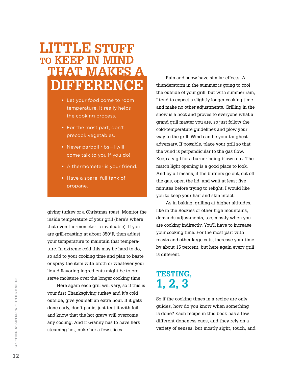### **difference that makes a to keep in mind little stuff**

- Let your food come to room temperature. It really helps the cooking process.
- For the most part, don't precook vegetables.
- Never parboil ribs—I will come talk to you if you do!
- A thermometer is your friend.
- Have a spare, full tank of propane.

giving turkey or a Christmas roast. Monitor the inside temperature of your grill (here's where that oven thermometer is invaluable). If you are grill-roasting at about 350°F, then adjust your temperature to maintain that temperature. In extreme cold this may be hard to do, so add to your cooking time and plan to baste or spray the item with broth or whatever your liquid flavoring ingredients might be to preserve moisture over the longer cooking time.

Here again each grill will vary, so if this is your first Thanksgiving turkey and it's cold outside, give yourself an extra hour. If it gets done early, don't panic, just tent it with foil and know that the hot gravy will overcome any cooling. And if Granny has to have hers steaming hot, nuke her a few slices.

Rain and snow have similar effects. A thunderstorm in the summer is going to cool the outside of your grill, but with summer rain, I tend to expect a slightly longer cooking time and make no other adjustments. Grilling in the snow is a hoot and proves to everyone what a grand grill master you are, so just follow the cold-temperature guidelines and plow your way to the grill. Wind can be your toughest adversary. If possible, place your grill so that the wind is perpendicular to the gas flow. Keep a vigil for a burner being blown out. The match light opening is a good place to look. And by all means, if the burners go out, cut off the gas, open the lid, and wait at least five minutes before trying to relight. I would like you to keep your hair and skin intact.

As in baking, grilling at higher altitudes, like in the Rockies or other high mountains, demands adjustments, too, mostly when you are cooking indirectly. You'll have to increase your cooking time. For the most part with roasts and other large cuts, increase your time by about 15 percent, but here again every grill is different.

### **Testing, 1, 2, 3**

So if the cooking times in a recipe are only guides, how do you know when something is done? Each recipe in this book has a few different doneness cues, and they rely on a variety of senses, but mostly sight, touch, and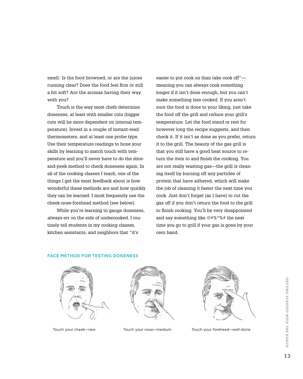smell: Is the food browned, or are the juices running clear? Does the food feel firm or still a bit soft? Are the aromas having their way with you?

Touch is the way most chefs determine doneness, at least with smaller cuts (bigger cuts will be more dependent on internal temperature). Invest in a couple of instant-read thermometers, and at least one probe type. Use their temperature readings to hone your skills by learning to match touch with temperature and you'll never have to do the sliceand-peek method to check doneness again. In all of the cooking classes I teach, one of the things I get the most feedback about is how wonderful these methods are and how quickly they can be learned. I most frequently use the cheek-nose-forehead method (see below).

While you're learning to gauge doneness, *always* err on the side of undercooked. I routinely tell students in my cooking classes, kitchen assistants, and neighbors that "it's

easier to put cook on than take cook off" meaning you can always cook something longer if it isn't done enough, but you can't make something less cooked. If you aren't sure the food is done to your liking, just take the food off the grill and reduce your grill's temperature. Let the food stand or rest for however long the recipe suggests, and then check it. If it isn't as done as you prefer, return it to the grill. The beauty of the gas grill is that you still have a good heat source to return the item to and finish the cooking. You are not really wasting gas—the grill is cleaning itself by burning off any particles of protein that have adhered, which will make the job of cleaning it faster the next time you cook. Just don't forget (as I have) to cut the gas off if you don't return the food to the grill to finish cooking. You'll be very disappointed and say something like @#%\*%# the next time you go to grill if your gas is gone by your own hand.

#### Face Method for Testing Doneness







Touch your cheek—rare Touch your nose—medium Touch your forehead—well-done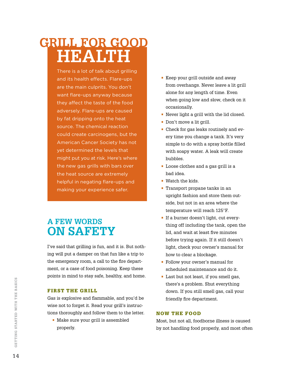### **Health grill for good**

There is a lot of talk about grilling and its health effects. Flare-ups are the main culprits. You don't want flare-ups anyway because they affect the taste of the food adversely. Flare-ups are caused by fat dripping onto the heat source. The chemical reaction could create carcinogens, but the American Cancer Society has not yet determined the levels that might put you at risk. Here's where the new gas grills with bars over the heat source are extremely helpful in negating flare-ups and making your experience safer.

### **A Few Words ON SAFETY**

I've said that grilling is fun, and it is. But nothing will put a damper on that fun like a trip to the emergency room, a call to the fire department, or a case of food poisoning. Keep these points in mind to stay safe, healthy, and home.

#### First the grill

Gas is explosive and flammable, and you'd be wise not to forget it. Read your grill's instructions thoroughly and follow them to the letter.

**•**  Make sure your grill is assembled properly.

- **•**  Keep your grill outside and away from overhangs. Never leave a lit grill alone for any length of time. Even when going low and slow, check on it occasionally.
- **•**  Never light a grill with the lid closed.
- **•**  Don't move a lit grill.
- **•**  Check for gas leaks routinely and every time you change a tank. It's very simple to do with a spray bottle filled with soapy water. A leak will create bubbles.
- **•**  Loose clothes and a gas grill is a bad idea.
- **•**  Watch the kids.
- **•** Transport propane tanks in an upright fashion and store them outside, but not in an area where the temperature will reach 125°F.
- **•**  If a burner doesn't light, cut everything off including the tank, open the lid, and wait at least five minutes before trying again. If it still doesn't light, check your owner's manual for how to clear a blockage.
- **•**  Follow your owner's manual for scheduled maintenance and do it.
- **•**  Last but not least, if you smell gas, there's a problem. Shut everything down. If you still smell gas, call your friendly fire department.

#### Now the food

Most, but not all, foodborne illness is caused by not handling food properly, and most often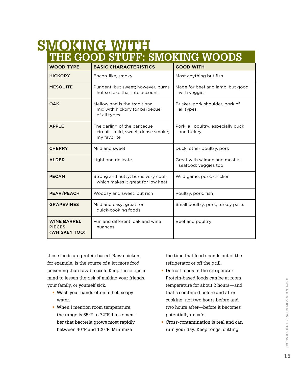### **smoking with the good stuff: Smoking Woods**

| <b>WOOD TYPE</b>                                     | <b>BASIC CHARACTERISTICS</b>                                                    | <b>GOOD WITH</b>                                       |
|------------------------------------------------------|---------------------------------------------------------------------------------|--------------------------------------------------------|
| <b>HICKORY</b>                                       | Bacon-like, smoky                                                               | Most anything but fish                                 |
| <b>MESQUITE</b>                                      | Pungent, but sweet; however, burns<br>hot so take that into account             | Made for beef and lamb, but good<br>with veggies       |
| OAK                                                  | Mellow and is the traditional<br>mix with hickory for barbecue<br>of all types  | Brisket, pork shoulder, pork of<br>all types           |
| <b>APPLE</b>                                         | The darling of the barbecue<br>circuit-mild, sweet, dense smoke;<br>my favorite | Pork; all poultry, especially duck<br>and turkey       |
| <b>CHERRY</b>                                        | Mild and sweet                                                                  | Duck, other poultry, pork                              |
| <b>ALDER</b>                                         | Light and delicate                                                              | Great with salmon and most all<br>seafood; veggies too |
| <b>PECAN</b>                                         | Strong and nutty; burns very cool,<br>which makes it great for low heat         | Wild game, pork, chicken                               |
| <b>PEAR/PEACH</b>                                    | Woodsy and sweet, but rich                                                      | Poultry, pork, fish                                    |
| <b>GRAPEVINES</b>                                    | Mild and easy; great for<br>quick-cooking foods                                 | Small poultry, pork, turkey parts                      |
| <b>WINE BARREL</b><br><b>PIECES</b><br>(WHISKEY TOO) | Fun and different; oak and wine<br>nuances                                      | Beef and poultry                                       |

those foods are protein based. Raw chicken, for example, is the source of a lot more food poisoning than raw broccoli. Keep these tips in mind to lessen the risk of making your friends, your family, or yourself sick.

- **•**  Wash your hands often in hot, soapy water.
- **•**  When I mention room temperature, the range is 65°F to 72°F, but remember that bacteria grows most rapidly between 40°F and 120°F. Minimize

the time that food spends out of the refrigerator or off the grill.

- **•** Defrost foods in the refrigerator. Protein-based foods can be at room temperature for about 2 hours—and that's combined before and after cooking, not two hours before and two hours after—before it becomes potentially unsafe.
- **•**  Cross-contamination is real and can ruin your day. Keep tongs, cutting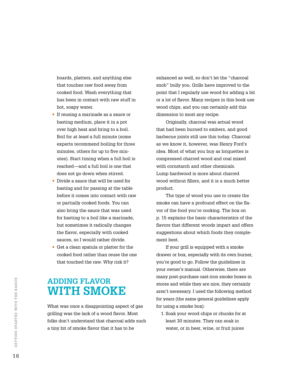boards, platters, and anything else that touches raw food away from cooked food. Wash everything that has been in contact with raw stuff in hot, soapy water.

- **•**  If reusing a marinade as a sauce or basting medium, place it in a pot over high heat and bring to a boil. Boil for *at least* a full minute (some experts recommend boiling for three minutes, others for up to five minutes). Start timing when a full boil is reached—and a full boil is one that does not go down when stirred.
- **•**  Divide a sauce that will be used for basting and for passing at the table before it comes into contact with raw or partially cooked foods. You can also bring the sauce that was used for basting to a boil like a marinade, but sometimes it radically changes the flavor, especially with cooked sauces, so I would rather divide.
- **•**  Get a clean spatula or platter for the cooked food rather than reuse the one that touched the raw. Why risk it?

### **Adding Flavor with Smoke**

What was once a disappointing aspect of gas grilling was the lack of a wood flavor. Most folks don't understand that charcoal adds such a tiny bit of smoke flavor that it has to be

enhanced as well, so don't let the "charcoal snob" bully you. Grills have improved to the point that I regularly use wood for adding a bit or a lot of flavor. Many recipes in this book use wood chips, and you can certainly add this dimension to most any recipe.

Originally, charcoal was actual wood that had been burned to embers, and good barbecue joints still use this today. Charcoal as we know it, however, was Henry Ford's idea. Most of what you buy as briquettes is compressed charred wood and coal mixed with cornstarch and other chemicals. Lump hardwood is more about charred wood without fillers, and it is a much better product.

The type of wood you use to create the smoke can have a profound effect on the flavor of the food you're cooking. The box on p. 15 explains the basic characteristics of the flavors that different woods impart and offers suggestions about which foods they complement best.

If your grill is equipped with a smoke drawer or box, especially with its own burner, you're good to go. Follow the guidelines in your owner's manual. Otherwise, there are many post-purchase cast-iron smoke boxes in stores and while they are nice, they certainly aren't necessary. I used the following method for years (the same general guidelines apply for using a smoke box):

1. Soak your wood chips or chunks for at least 30 minutes. They can soak in water, or in beer, wine, or fruit juices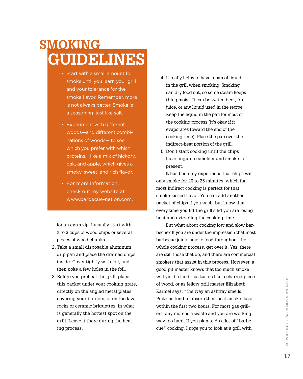# **guidelines smoking**

- Start with a small amount for smoke until you learn your grill and your tolerance for the smoke flavor. Remember, more is not always better. Smoke is a seasoning, just like salt.
- Experiment with different woods—and different combinations of woods— to see which you prefer with which proteins. I like a mix of hickory, oak, and apple, which gives a smoky, sweet, and rich flavor.
- For more information, check out my website at www.barbecue-nation.com.

for an extra zip. I usually start with 2 to 3 cups of wood chips or several pieces of wood chunks.

- 2. Take a small disposable aluminum drip pan and place the drained chips inside. Cover tightly with foil, and then poke a few holes in the foil.
- 3. Before you preheat the grill, place this packet under your cooking grate, directly on the angled metal plates covering your burners, or on the lava rocks or ceramic briquettes, in what is generally the hottest spot on the grill. Leave it there during the heating process.
- 4. It really helps to have a pan of liquid in the grill when smoking. Smoking can dry food out, so some steam keeps thing moist. It can be water, beer, fruit juice, or any liquid used in the recipe. Keep the liquid in the pan for most of the cooking process (it's okay if it evaporates toward the end of the cooking time). Place the pan over the indirect-heat portion of the grill.
- 5. Don't start cooking until the chips have begun to smolder and smoke is present.

It has been my experience that chips will only smoke for 20 to 25 minutes, which for most indirect cooking is perfect for that smoke-kissed flavor. You can add another packet of chips if you wish, but know that every time you lift the grill's lid you are losing heat and extending the cooking time.

But what about cooking low and slow barbecue? If you are under the impression that most barbecue joints smoke food throughout the whole cooking process, get over it. Yes, there are still those that do, and there are commercial smokers that assist in this process. However, a good pit master knows that too much smoke will yield a food that tastes like a charred piece of wood, or as fellow grill master Elizabeth Karmel says, "the way an ashtray smells." Proteins tend to absorb their best smoke flavor within the first two hours. For most gas grillers, any more is a waste and you are working way too hard. If you plan to do a lot of "barbecue" cooking, I urge you to look at a grill with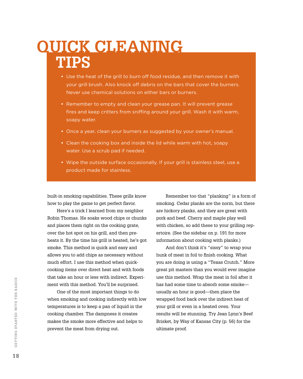# **tips quick cleaning**

- Use the heat of the grill to burn off food residue, and then remove it with your grill brush. Also knock off debris on the bars that cover the burners. Never use chemical solutions on either bars or burners.
- Remember to empty and clean your grease pan. It will prevent grease fires and keep critters from sniffing around your grill. Wash it with warm, soapy water.
- Once a year, clean your burners as suggested by your owner's manual.
- Clean the cooking box and inside the lid while warm with hot, soapy water. Use a scrub pad if needed.
- Wipe the outside surface occasionally. If your grill is stainless steel, use a product made for stainless.

built-in smoking capabilities. These grills know how to play the game to get perfect flavor.

Here's a trick I learned from my neighbor Robin Thomas. He soaks wood chips or chunks and places them right on the cooking grate, over the hot spot on his grill, and then preheats it. By the time his grill is heated, he's got smoke. This method is quick and easy and allows you to add chips as necessary without much effort. I use this method when quickcooking items over direct heat and with foods that take an hour or less with indirect. Experiment with this method. You'll be surprised.

One of the most important things to do when smoking and cooking indirectly with low temperatures is to keep a pan of liquid in the cooking chamber. The dampness it creates makes the smoke more effective and helps to prevent the meat from drying out.

Remember too that "planking" is a form of smoking. Cedar planks are the norm, but there are hickory planks, and they are great with pork and beef. Cherry and maple play well with chicken, so add these to your grilling repertoire. (See the sidebar on p. 191 for more information about cooking with planks.)

And don't think it's "sissy" to wrap your hunk of meat in foil to finish cooking. What you are doing is using a "Texas Crutch." More great pit masters than you would ever imagine use this method. Wrap the meat in foil after it has had some time to absorb some smoke usually an hour is good—then place the wrapped food back over the indirect heat of your grill or even in a heated oven. Your results will be stunning. Try Jean Lynn's Beef Brisket, by Way of Kansas City (p. 56) for the ultimate proof.

GETTING STARTED WITH THE BASICS **Getting started with the basics**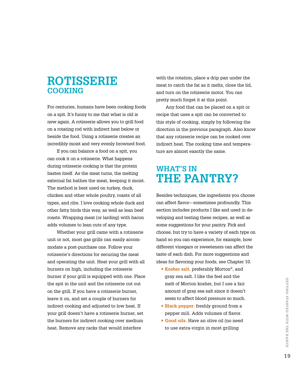### **Rotisserie Cooking**

For centuries, humans have been cooking foods on a spit. It's funny to me that what is old is new again. A rotisserie allows you to grill food on a rotating rod with indirect heat below or beside the food. Using a rotisserie creates an incredibly moist and very evenly browned food.

If you can balance a food on a spit, you can cook it on a rotisserie. What happens during rotisserie cooking is that the protein bastes itself. As the meat turns, the melting external fat bathes the meat, keeping it moist. The method is best used on turkey, duck, chicken and other whole poultry, roasts of all types, and ribs. I love cooking whole duck and other fatty birds this way, as well as lean beef roasts. Wrapping meat (or larding) with bacon adds volumes to lean cuts of any type.

Whether your grill came with a rotisserie unit or not, most gas grills can easily accommodate a post-purchase one. Follow your rotisserie's directions for securing the meat and operating the unit. Heat your grill with all burners on high, including the rotisserie burner if your grill is equipped with one. Place the spit in the unit and the rotisserie cut out on the grill. If you have a rotisserie burner, leave it on, and set a couple of burners for indirect cooking and adjusted to low heat. If your grill doesn't have a rotisserie burner, set the burners for indirect cooking over medium heat. Remove any racks that would interfere

with the rotation, place a drip pan under the meat to catch the fat as it melts, close the lid, and turn on the rotisserie motor. You can pretty much forget it at this point.

Any food that can be placed on a spit or recipe that uses a spit can be converted to this style of cooking, simply by following the direction in the previous paragraph. Also know that any rotisserie recipe can be cooked over indirect heat. The cooking time and temperature are almost exactly the same.

### **WHAT'S IN the Pantry?**

Besides techniques, the ingredients you choose can affect flavor—sometimes profoundly. This section includes products I like and used in developing and testing these recipes, as well as some suggestions for your pantry. Pick and choose, but try to have a variety of each type on hand so you can experience, for example, how different vinegars or sweeteners can affect the taste of each dish. For more suggestions and ideas for flavoring your foods, see Chapter 10.

- **Kosher salt.** preferably Morton®, and gray sea salt. I like the feel and the melt of Morton kosher, but I use a fair amount of gray sea salt since it doesn't seem to affect blood pressure so much.
- **Black pepper.** freshly ground from a pepper mill. Adds volumes of flavor.
- **Good oils.** Have an olive oil (no need to use extra-virgin in most grilling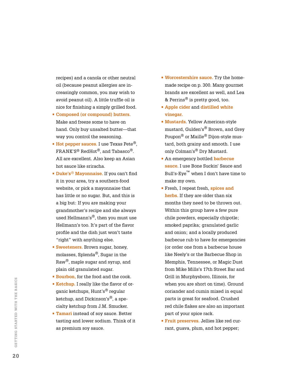recipes) and a canola or other neutral oil (because peanut allergies are increasingly common, you may wish to avoid peanut oil). A little truffle oil is nice for finishing a simply grilled food.

- **Composed (or compound) butters.** Make and freeze some to have on hand. Only buy unsalted butter—that way you control the seasoning.
- **Hot pepper sauces.** I use Texas Pete®, FRANK'S® RedHot®, and Tabasco®. All are excellent. Also keep an Asian hot sauce like sriracha.
- **Duke's**® **Mayonnaise.** If you can't find it in your area, try a southern-food website, or pick a mayonnaise that has little or no sugar. But, and this is a big but: If you are making your grandmother's recipe and she always used Hellmann's®, then you must use Hellmann's too. It's part of the flavor profile and the dish just won't taste "right" with anything else.
- **Sweeteners.** Brown sugar, honey, molasses, Splenda®, Sugar in the Raw®, maple sugar and syrup, and plain old granulated sugar.
- **Bourbon,** for the food and the cook.
- **Ketchup.** I really like the flavor of organic ketchups, Hunt's® regular ketchup, and Dickinson's®, a specialty ketchup from J.M. Smucker.
- **Tamari** instead of soy sauce. Better tasting and lower sodium. Think of it as premium soy sauce.
- **Worcestershire sauce.** Try the homemade recipe on p. 300. Many gourmet brands are excellent as well, and Lea & Perrins® is pretty good, too.
- **Apple cider** and **distilled white vinegar.**
- **Mustards**. Yellow American-style mustard, Gulden's® Brown, and Grey Poupon® or Maille® Dijon-style mustard, both grainy and smooth. I use only Colman's® Dry Mustard.
- An emergency bottled **barbecue sauce**. I use Bone Suckin' Sauce and Bull's-Eye™ when I don't have time to make my own.
- Fresh, I repeat fresh, **spices and herbs.** If they are older than six months they need to be thrown out. Within this group have a few pure chile powders, especially chipotle; smoked paprika; granulated garlic and onion; and a locally produced barbecue rub to have for emergencies (or order one from a barbecue house like Neely's or the Barbecue Shop in Memphis, Tennessee, or Magic Dust from Mike Mills's 17th Street Bar and Grill in Murphysboro, Illinois, for when you are short on time). Ground coriander and cumin mixed in equal parts is great for seafood. Crushed red chile flakes are also an important part of your spice rack.
- **Fruit preserves.** Jellies like red currant, guava, plum, and hot pepper;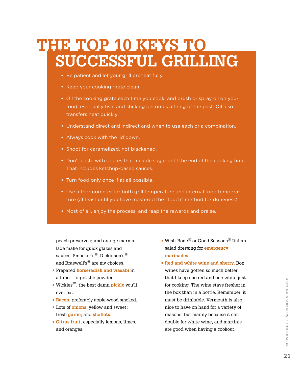# **successful grilling the top 10 keys to**

- Be patient and let your grill preheat fully.
- Keep your cooking grate clean.
- Oil the cooking grate each time you cook, and brush or spray oil on your food, especially fish, and sticking becomes a thing of the past. Oil also transfers heat quickly.
- Understand direct and indirect and when to use each or a combination.
- Always cook with the lid down.
- Shoot for caramelized, not blackened.
- Don't baste with sauces that include sugar until the end of the cooking time. That includes ketchup-based sauces.
- Turn food only once if at all possible.
- Use a thermometer for both grill temperature and internal food temperature (at least until you have mastered the "touch" method for doneness).
- Most of all, enjoy the process, and reap the rewards and praise.

peach preserves; and orange marmalade make for quick glazes and sauces. Smucker's®, Dickinson's®, and Braswell's<sup>®</sup> are my choices.

- Prepared **horseradish and wasabi** in a tube—forget the powder.
- Wickles™, the best damn **pickle** you'll ever eat.
- **Bacon,** preferably apple-wood smoked.
- Lots of **onions,** yellow and sweet; fresh **garlic;** and **shallots.**
- **Citrus fruit,** especially lemons, limes, and oranges.
- Wish-Bone® or Good Seasons® Italian salad dressing for **emergency marinades.**
- **Red and white wine and sherry.** Box wines have gotten so much better that I keep one red and one white just for cooking. The wine stays fresher in the box than in a bottle. Remember, it must be drinkable. Vermouth is also nice to have on hand for a variety of reasons, but mainly because it can double for white wine, and martinis are good when having a cookout.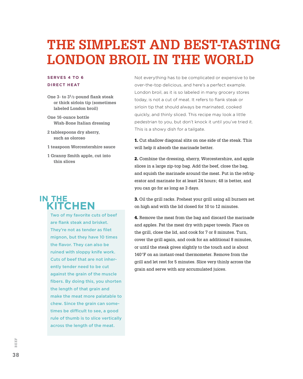### **The Simplest and Best-Tasting London Broil in the World**

#### **Serves 4 to 6 Direct heat**

- One 3- to 3<sup>1</sup>/<sub>2</sub>-pound flank steak **or thick sirloin tip (sometimes labeled London broil)**
- **One 16-ounce bottle Wish-Bone Italian dressing**
- **2 tablespoons dry sherry, such as oloroso**
- **1 teaspoon Worcestershire sauce**
- **1 Granny Smith apple, cut into thin slices**

#### **in the kitchen**

Two of my favorite cuts of beef are flank steak and brisket. They're not as tender as filet mignon, but they have 10 times the flavor. They can also be ruined with sloppy knife work. Cuts of beef that are not inherently tender need to be cut against the grain of the muscle fibers. By doing this, you shorten the length of that grain and make the meat more palatable to chew. Since the grain can sometimes be difficult to see, a good rule of thumb is to slice vertically across the length of the meat.

Not everything has to be complicated or expensive to be over-the-top delicious, and here's a perfect example. London broil, as it is so labeled in many grocery stores today, is not a cut of meat. It refers to flank steak or sirloin tip that should always be marinated, cooked quickly, and thinly sliced. This recipe may look a little pedestrian to you, but don't knock it until you've tried it. This is a showy dish for a tailgate.

1. Cut shallow diagonal slits on one side of the steak. This will help it absorb the marinade better.

2. Combine the dressing, sherry, Worcestershire, and apple slices in a large zip-top bag. Add the beef, close the bag, and squish the marinade around the meat. Put in the refrigerator and marinate for at least 24 hours; 48 is better, and you can go for as long as 3 days.

3. Oil the grill racks. Preheat your grill using all burners set on high and with the lid closed for 10 to 12 minutes.

4. Remove the meat from the bag and discard the marinade and apples. Pat the meat dry with paper towels. Place on the grill, close the lid, and cook for 7 or 8 minutes. Turn, cover the grill again, and cook for an additional 8 minutes, or until the steak gives slightly to the touch and is about 140°F on an instant-read thermometer. Remove from the grill and let rest for 5 minutes. Slice very thinly across the grain and serve with any accumulated juices.

**BEEF**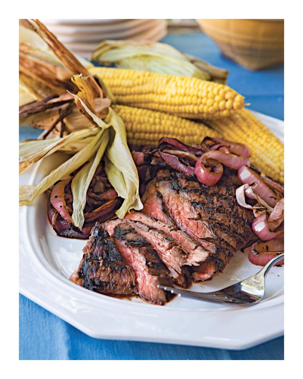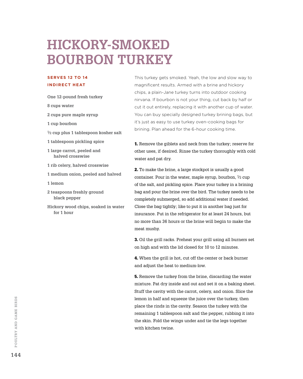# **Hickory-Smoked Bourbon Turkey**

#### **Serves 12 to 14 Indirect heat**

**One 12-pound fresh turkey**

**8 cups water**

**2 cups pure maple syrup** 

**1 cup bourbon** 

**1⁄2 cup plus 1 tablespoon kosher salt**

**1 tablespoon pickling spice**

**1 large carrot, peeled and halved crosswise**

**1 rib celery, halved crosswise**

**1 medium onion, peeled and halved**

**1 lemon**

**2 teaspoons freshly ground black pepper**

**Hickory wood chips, soaked in water for 1 hour**

This turkey gets smoked. Yeah, the low and slow way to magnificent results. Armed with a brine and hickory chips, a plain-Jane turkey turns into outdoor cooking nirvana. If bourbon is not your thing, cut back by half or cut it out entirely, replacing it with another cup of water. You can buy specially designed turkey brining bags, but it's just as easy to use turkey oven-cooking bags for brining. Plan ahead for the 6-hour cooking time.

1. Remove the giblets and neck from the turkey; reserve for other uses, if desired. Rinse the turkey thoroughly with cold water and pat dry.

2. To make the brine, a large stockpot is usually a good container. Pour in the water, maple syrup, bourbon, 1⁄2 cup of the salt, and pickling spice. Place your turkey in a brining bag and pour the brine over the bird. The turkey needs to be completely submerged, so add additional water if needed. Close the bag tightly; like to put it in another bag just for insurance. Put in the refrigerator for at least 24 hours, but no more than 36 hours or the brine will begin to make the meat mushy.

3. Oil the grill racks. Preheat your grill using all burners set on high and with the lid closed for 10 to 12 minutes.

4. When the grill is hot, cut off the center or back burner and adjust the heat to medium-low.

5. Remove the turkey from the brine, discarding the water mixture. Pat dry inside and out and set it on a baking sheet. Stuff the cavity with the carrot, celery, and onion. Slice the lemon in half and squeeze the juice over the turkey, then place the rinds in the cavity. Season the turkey with the remaining 1 tablespoon salt and the pepper, rubbing it into the skin. Fold the wings under and tie the legs together with kitchen twine.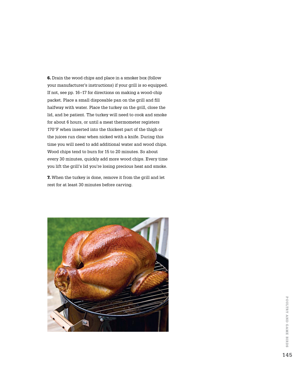6. Drain the wood chips and place in a smoker box (follow your manufacturer's instructions) if your grill is so equipped. If not, see pp. 16–17 for directions on making a wood-chip packet. Place a small disposable pan on the grill and fill halfway with water. Place the turkey on the grill, close the lid, and be patient. The turkey will need to cook and smoke for about 6 hours, or until a meat thermometer registers 170°F when inserted into the thickest part of the thigh or the juices run clear when nicked with a knife. During this time you will need to add additional water and wood chips. Wood chips tend to burn for 15 to 20 minutes. So about every 30 minutes, quickly add more wood chips. Every time you lift the grill's lid you're losing precious heat and smoke.

**7.** When the turkey is done, remove it from the grill and let rest for at least 30 minutes before carving.

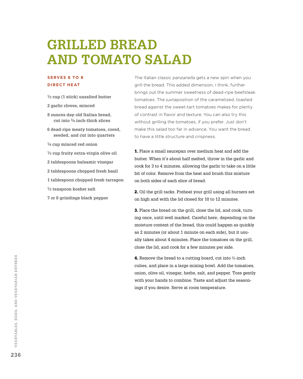### **Grilled Bread and Tomato Salad**

#### **Serves 6 to 8 Direct heat**

- **1⁄2 cup (1 stick) unsalted butter**
- **2 garlic cloves, minced**
- **8 ounces day-old Italian bread, cut into 3⁄4-inch-thick slices**
- **6 dead-ripe meaty tomatoes, cored, seeded, and cut into quarters**
- **1⁄4 cup minced red onion**
- **1⁄3 cup fruity extra-virgin olive oil**
- **2 tablespoons balsamic vinegar**
- **2 tablespoons chopped fresh basil**
- **1 tablespoon chopped fresh tarragon**
- **1⁄2 teaspoon kosher salt**
- **7 or 8 grindings black pepper**

The Italian classic *panzanella* gets a new spin when you grill the bread. This added dimension, I think, further brings out the summer sweetness of dead-ripe beefsteak tomatoes. The juxtaposition of the caramelized, toasted bread against the sweet-tart tomatoes makes for plenty of contrast in flavor and texture. You can also try this without grilling the tomatoes, if you prefer. Just don't make this salad too far in advance. You want the bread to have a little structure and crispness.

1. Place a small saucepan over medium heat and add the butter. When it's about half melted, throw in the garlic and cook for 3 to 4 minutes, allowing the garlic to take on a little bit of color. Remove from the heat and brush this mixture on both sides of each slice of bread.

2. Oil the grill racks. Preheat your grill using all burners set on high and with the lid closed for 10 to 12 minutes.

3. Place the bread on the grill, close the lid, and cook, turning once, until well marked. Careful here; depending on the moisture content of the bread, this could happen as quickly as 2 minutes (or about 1 minute on each side), but it usually takes about 4 minutes. Place the tomatoes on the grill, close the lid, and cook for a few minutes per side.

**4.** Remove the bread to a cutting board, cut into  $\frac{3}{4}$ -inch cubes, and place in a large mixing bowl. Add the tomatoes, onion, olive oil, vinegar, herbs, salt, and pepper. Toss gently with your hands to combine. Taste and adjust the seasonings if you desire. Serve at room temperature.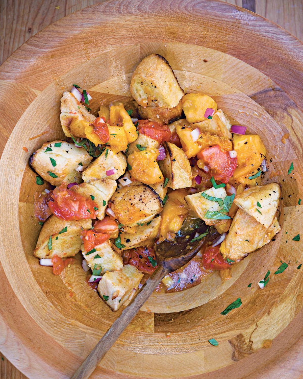